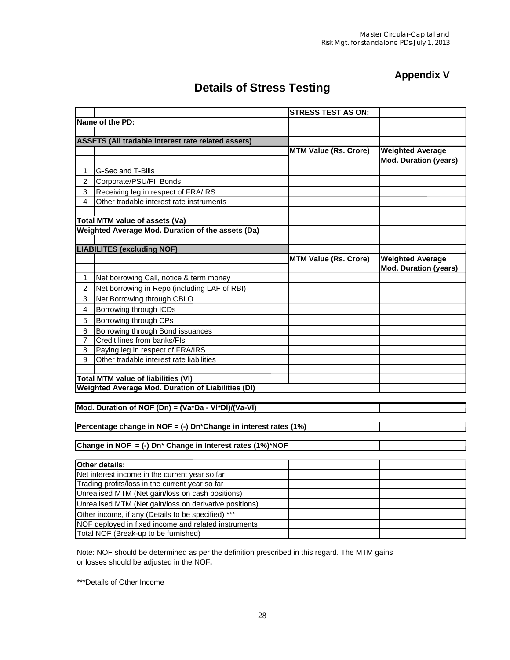## **Appendix V**

## **Details of Stress Testing**

|                                                           |                                                                       | <b>STRESS TEST AS ON:</b>    |                              |  |  |
|-----------------------------------------------------------|-----------------------------------------------------------------------|------------------------------|------------------------------|--|--|
|                                                           | Name of the PD:                                                       |                              |                              |  |  |
|                                                           |                                                                       |                              |                              |  |  |
|                                                           | ASSETS (All tradable interest rate related assets)                    |                              |                              |  |  |
|                                                           |                                                                       | <b>MTM Value (Rs. Crore)</b> | <b>Weighted Average</b>      |  |  |
|                                                           |                                                                       |                              | <b>Mod. Duration (years)</b> |  |  |
| 1                                                         | G-Sec and T-Bills                                                     |                              |                              |  |  |
| 2                                                         | Corporate/PSU/FI Bonds                                                |                              |                              |  |  |
| 3                                                         | Receiving leg in respect of FRA/IRS                                   |                              |                              |  |  |
| 4                                                         | Other tradable interest rate instruments                              |                              |                              |  |  |
|                                                           |                                                                       |                              |                              |  |  |
|                                                           | Total MTM value of assets (Va)                                        |                              |                              |  |  |
|                                                           | Weighted Average Mod. Duration of the assets (Da)                     |                              |                              |  |  |
|                                                           |                                                                       |                              |                              |  |  |
|                                                           | <b>LIABILITES (excluding NOF)</b>                                     |                              |                              |  |  |
|                                                           |                                                                       | <b>MTM Value (Rs. Crore)</b> | <b>Weighted Average</b>      |  |  |
|                                                           |                                                                       |                              | <b>Mod. Duration (years)</b> |  |  |
| 1                                                         | Net borrowing Call, notice & term money                               |                              |                              |  |  |
| $\overline{c}$                                            | Net borrowing in Repo (including LAF of RBI)                          |                              |                              |  |  |
| 3                                                         | Net Borrowing through CBLO                                            |                              |                              |  |  |
| 4                                                         | Borrowing through ICDs                                                |                              |                              |  |  |
| 5                                                         | Borrowing through CPs                                                 |                              |                              |  |  |
| 6                                                         | Borrowing through Bond issuances                                      |                              |                              |  |  |
| 7                                                         | Credit lines from banks/FIs                                           |                              |                              |  |  |
| 8                                                         | Paying leg in respect of FRA/IRS                                      |                              |                              |  |  |
| 9                                                         | Other tradable interest rate liabilities                              |                              |                              |  |  |
|                                                           |                                                                       |                              |                              |  |  |
|                                                           | <b>Total MTM value of liabilities (VI)</b>                            |                              |                              |  |  |
| <b>Weighted Average Mod. Duration of Liabilities (DI)</b> |                                                                       |                              |                              |  |  |
|                                                           |                                                                       |                              |                              |  |  |
|                                                           | Mod. Duration of NOF (Dn) = (Va*Da - VI*DI)/(Va-VI)                   |                              |                              |  |  |
|                                                           |                                                                       |                              |                              |  |  |
|                                                           | Percentage change in NOF = (-) Dn*Change in interest rates (1%)       |                              |                              |  |  |
|                                                           | Change in NOF = (-) Dn <sup>*</sup> Change in Interest rates (1%)*NOF |                              |                              |  |  |
|                                                           |                                                                       |                              |                              |  |  |
|                                                           | Other details:                                                        |                              |                              |  |  |
|                                                           | Net interest income in the current year so far                        |                              |                              |  |  |
|                                                           | Trading profits/loss in the current year so far                       |                              |                              |  |  |
|                                                           | Unrealised MTM (Net gain/loss on cash positions)                      |                              |                              |  |  |
|                                                           | Unrealised MTM (Net gain/loss on derivative positions)                |                              |                              |  |  |
| Other income, if any (Details to be specified) ***        |                                                                       |                              |                              |  |  |
|                                                           | NOF deployed in fixed income and related instruments                  |                              |                              |  |  |
|                                                           | Total NOF (Break-up to be furnished)                                  |                              |                              |  |  |
|                                                           |                                                                       |                              |                              |  |  |

Note: NOF should be determined as per the definition prescribed in this regard. The MTM gains or losses should be adjusted in the NOF**.**

\*\*\*Details of Other Income